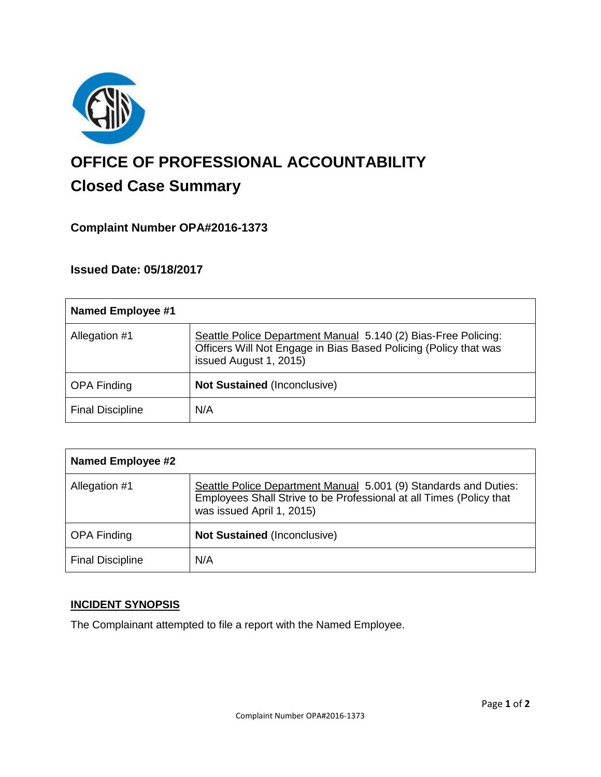

# **OFFICE OF PROFESSIONAL ACCOUNTABILITY Closed Case Summary**

## **Complaint Number OPA#2016-1373**

### **Issued Date: 05/18/2017**

| <b>Named Employee #1</b> |                                                                                                                                                              |
|--------------------------|--------------------------------------------------------------------------------------------------------------------------------------------------------------|
| Allegation #1            | Seattle Police Department Manual 5.140 (2) Bias-Free Policing:<br>Officers Will Not Engage in Bias Based Policing (Policy that was<br>issued August 1, 2015) |
| <b>OPA Finding</b>       | <b>Not Sustained (Inconclusive)</b>                                                                                                                          |
| <b>Final Discipline</b>  | N/A                                                                                                                                                          |

| <b>Named Employee #2</b> |                                                                                                                                                                      |
|--------------------------|----------------------------------------------------------------------------------------------------------------------------------------------------------------------|
| Allegation #1            | Seattle Police Department Manual 5.001 (9) Standards and Duties:<br>Employees Shall Strive to be Professional at all Times (Policy that<br>was issued April 1, 2015) |
| <b>OPA Finding</b>       | <b>Not Sustained (Inconclusive)</b>                                                                                                                                  |
| <b>Final Discipline</b>  | N/A                                                                                                                                                                  |

#### **INCIDENT SYNOPSIS**

The Complainant attempted to file a report with the Named Employee.